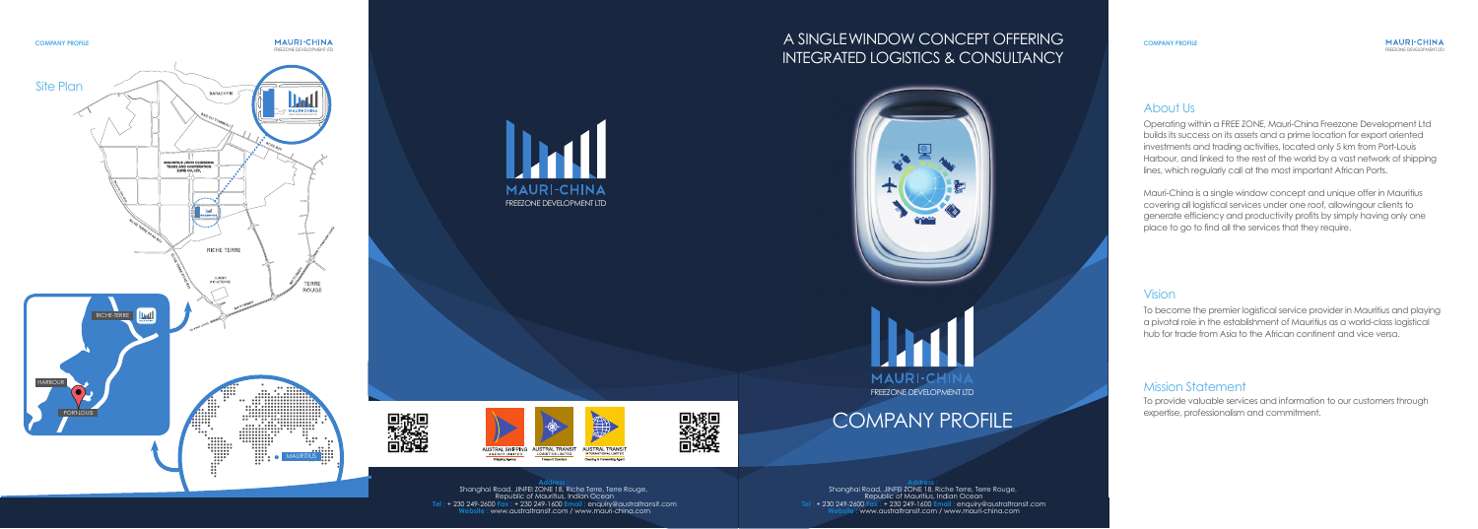









## Vision

### Mission Statement

### About Us

Operating within a FREE ZONE, Mauri-China Freezone Development Ltd builds its success on its assets and a prime location for export oriented investments and trading activities, located only 5 km from Port-Louis Harbour, and linked to the rest of the world by a vast network of shipping lines, which regularly call at the most important African Ports.



Mauri-China is a single window concept and unique offer in Mauritius covering all logistical services under one roof, allowingour clients to generate efficiency and productivity profits by simply having only one place to go to find all the services that they require.

**Address :** Shanghai Road, JINFEI ZONE 18, Riche Terre, Terre Rouge, Republic of Mauritius, Indian Ocean **Tel :** + 230 249-2600 **Fax :** + 230 249-1600 **Email :** enquiry@australtransit.com Website : www.australtransit.com / www.mauri-china.com

To become the premier logistical service provider in Mauritius and playing a pivotal role in the establishment of Mauritius as a world-class logistical hub for trade from Asia to the African continent and vice versa.

To provide valuable services and information to our customers through expertise, professionalism and commitment.

### **COMPANY PROFILE**

## A SINGLEWINDOW CONCEPT OFFERING INTEGRATED LOGISTICS & CONSULTANCY



# COMPANY PROFILE

**Address :<br>Shanghai Road, JINFEI ZONE 18, Riche Terre, Terre Rouge,<br>Republic of Mauritius, Indian Ocean Tel :** + 230 249-2600 **Fax :** + 230 249-1600 **Email :** enquiry@australtransit.com Website : www.australtransit.com / www.mauri-china.com